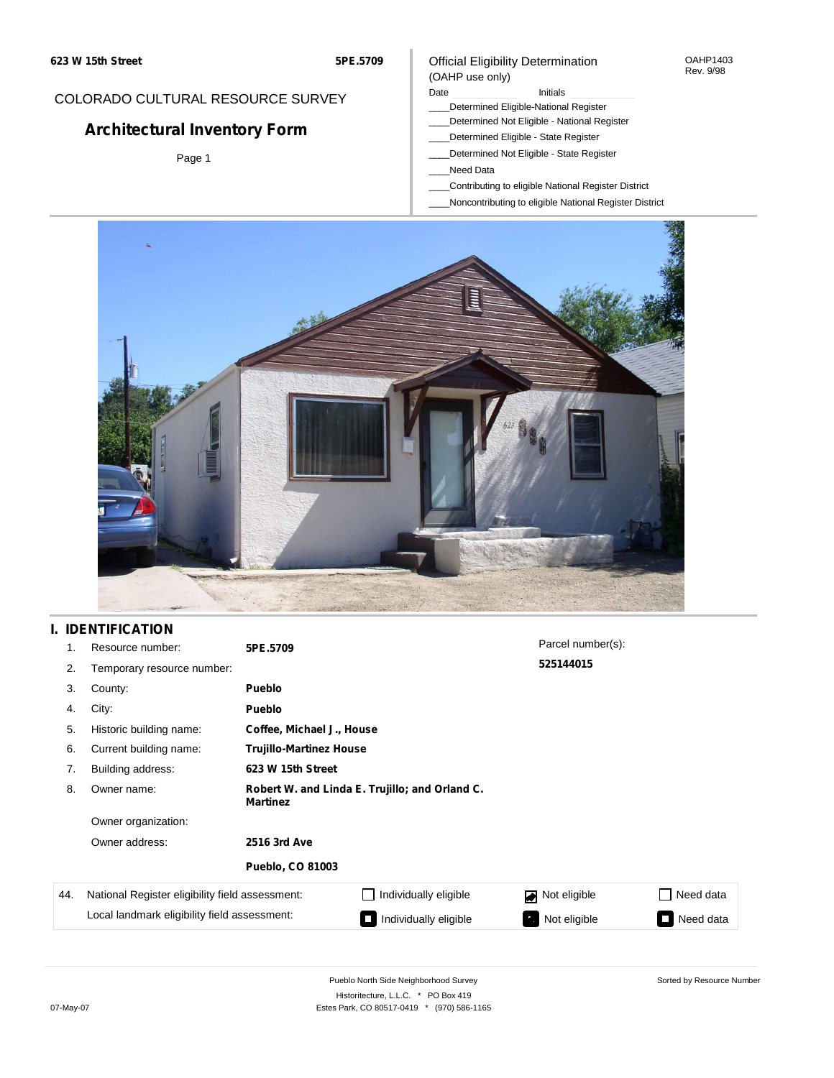#### OAHP1403 Rev. 9/98

### COLORADO CULTURAL RESOURCE SURVEY

# **Architectural Inventory Form**

Page 1

### (OAHP use only) Date **Initials** Initials

Official Eligibility Determination

- \_\_\_\_Determined Eligible-National Register
- \_\_\_\_Determined Not Eligible National Register
- \_\_\_\_Determined Eligible State Register
- \_\_\_\_Determined Not Eligible State Register
- \_\_\_\_Need Data
- \_\_\_\_Contributing to eligible National Register District
- \_\_\_\_Noncontributing to eligible National Register District



## **I. IDENTIFICATION**

| 1 <sub>1</sub> | Resource number:                                | 5PE.5709                                                          |                                | Parcel number(s): |                             |  |  |  |
|----------------|-------------------------------------------------|-------------------------------------------------------------------|--------------------------------|-------------------|-----------------------------|--|--|--|
| 2.             | Temporary resource number:                      |                                                                   |                                | 525144015         |                             |  |  |  |
| 3.             | County:                                         | <b>Pueblo</b>                                                     |                                |                   |                             |  |  |  |
| 4.             | City:                                           | <b>Pueblo</b>                                                     |                                |                   |                             |  |  |  |
| 5.             | Historic building name:                         |                                                                   | Coffee, Michael J., House      |                   |                             |  |  |  |
| 6.             | Current building name:                          |                                                                   | <b>Trujillo-Martinez House</b> |                   |                             |  |  |  |
| 7.             | Building address:                               | 623 W 15th Street                                                 |                                |                   |                             |  |  |  |
| 8.             | Owner name:                                     | Robert W. and Linda E. Trujillo; and Orland C.<br><b>Martinez</b> |                                |                   |                             |  |  |  |
|                | Owner organization:                             |                                                                   |                                |                   |                             |  |  |  |
|                | Owner address:                                  | 2516 3rd Ave                                                      |                                |                   |                             |  |  |  |
|                |                                                 | <b>Pueblo, CO 81003</b>                                           |                                |                   |                             |  |  |  |
| 44.            | National Register eligibility field assessment: |                                                                   | Individually eligible          | Not eligible      | Need data<br>$\blacksquare$ |  |  |  |
|                | Local landmark eligibility field assessment:    |                                                                   | Individually eligible          | Not eligible      | Need data                   |  |  |  |

Sorted by Resource Number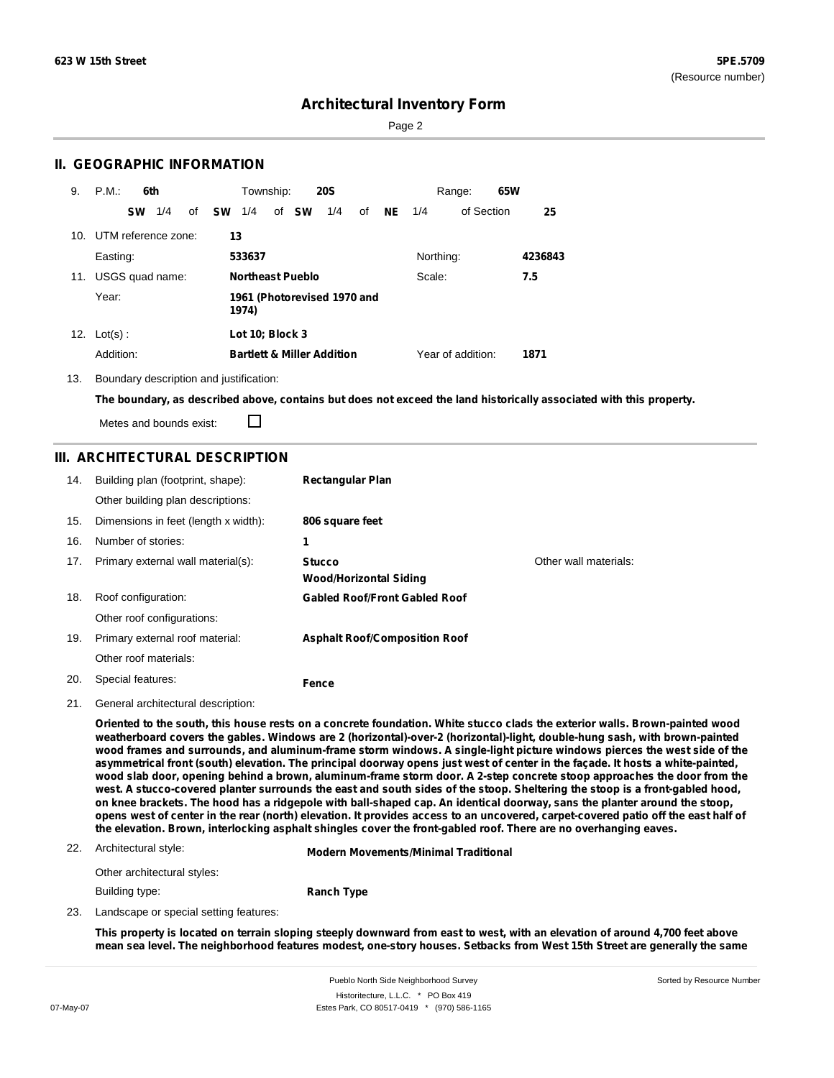Sorted by Resource Number

### **Architectural Inventory Form**

Page 2

### **II. GEOGRAPHIC INFORMATION**

| 9.  | P.M.                    | 6th       |     |    |           | Township:       |                         | <b>20S</b>                            |    |           |           | Range:            | 65W |         |
|-----|-------------------------|-----------|-----|----|-----------|-----------------|-------------------------|---------------------------------------|----|-----------|-----------|-------------------|-----|---------|
|     |                         | <b>SW</b> | 1/4 | of | <b>SW</b> | 1/4             | of <b>SW</b>            | 1/4                                   | of | <b>NE</b> | 1/4       | of Section        |     | 25      |
|     | 10. UTM reference zone: |           |     |    | 13        |                 |                         |                                       |    |           |           |                   |     |         |
|     | Easting:                |           |     |    |           | 533637          |                         |                                       |    |           | Northing: |                   |     | 4236843 |
| 11. | USGS quad name:         |           |     |    |           |                 | <b>Northeast Pueblo</b> |                                       |    |           | Scale:    |                   |     | 7.5     |
|     | Year:                   |           |     |    |           | 1974)           |                         | 1961 (Photorevised 1970 and           |    |           |           |                   |     |         |
|     | 12. $Lot(s)$ :          |           |     |    |           | Lot 10; Block 3 |                         |                                       |    |           |           |                   |     |         |
|     | Addition:               |           |     |    |           |                 |                         | <b>Bartlett &amp; Miller Addition</b> |    |           |           | Year of addition: |     | 1871    |

13. Boundary description and justification:

The boundary, as described above, contains but does not exceed the land historically associated with this property.

Metes and bounds exist:

П

### **III. ARCHITECTURAL DESCRIPTION**

| 14. | Building plan (footprint, shape):    | <b>Rectangular Plan</b>                        |                       |
|-----|--------------------------------------|------------------------------------------------|-----------------------|
|     | Other building plan descriptions:    |                                                |                       |
| 15. | Dimensions in feet (length x width): | 806 square feet                                |                       |
| 16. | Number of stories:                   | 1                                              |                       |
| 17. | Primary external wall material(s):   | <b>Stucco</b><br><b>Wood/Horizontal Siding</b> | Other wall materials: |
| 18. | Roof configuration:                  | <b>Gabled Roof/Front Gabled Roof</b>           |                       |
|     | Other roof configurations:           |                                                |                       |
| 19. | Primary external roof material:      | <b>Asphalt Roof/Composition Roof</b>           |                       |
|     | Other roof materials:                |                                                |                       |
| 20. | Special features:                    | Fence                                          |                       |

21. General architectural description:

Oriented to the south, this house rests on a concrete foundation. White stucco clads the exterior walls. Brown-painted wood **weatherboard covers the gables. Windows are 2 (horizontal)-over-2 (horizontal)-light, double-hung sash, with brown-painted** wood frames and surrounds, and aluminum-frame storm windows. A single-light picture windows pierces the west side of the asymmetrical front (south) elevation. The principal doorway opens just west of center in the façade. It hosts a white-painted, wood slab door, opening behind a brown, aluminum-frame storm door. A 2-step concrete stoop approaches the door from the west. A stucco-covered planter surrounds the east and south sides of the stoop. Sheltering the stoop is a front-gabled hood, on knee brackets. The hood has a ridgepole with ball-shaped cap. An identical doorway, sans the planter around the stoop, opens west of center in the rear (north) elevation. It provides access to an uncovered, carpet-covered patio off the east half of **the elevation. Brown, interlocking asphalt shingles cover the front-gabled roof. There are no overhanging eaves.**

#### 22. Architectural style:

**Modern Movements/Minimal Traditional**

| Other architectural styles: |                   |
|-----------------------------|-------------------|
| Building type:              | <b>Ranch Type</b> |

23. Landscape or special setting features:

This property is located on terrain sloping steeply downward from east to west, with an elevation of around 4,700 feet above mean sea level. The neighborhood features modest, one-story houses. Setbacks from West 15th Street are generally the same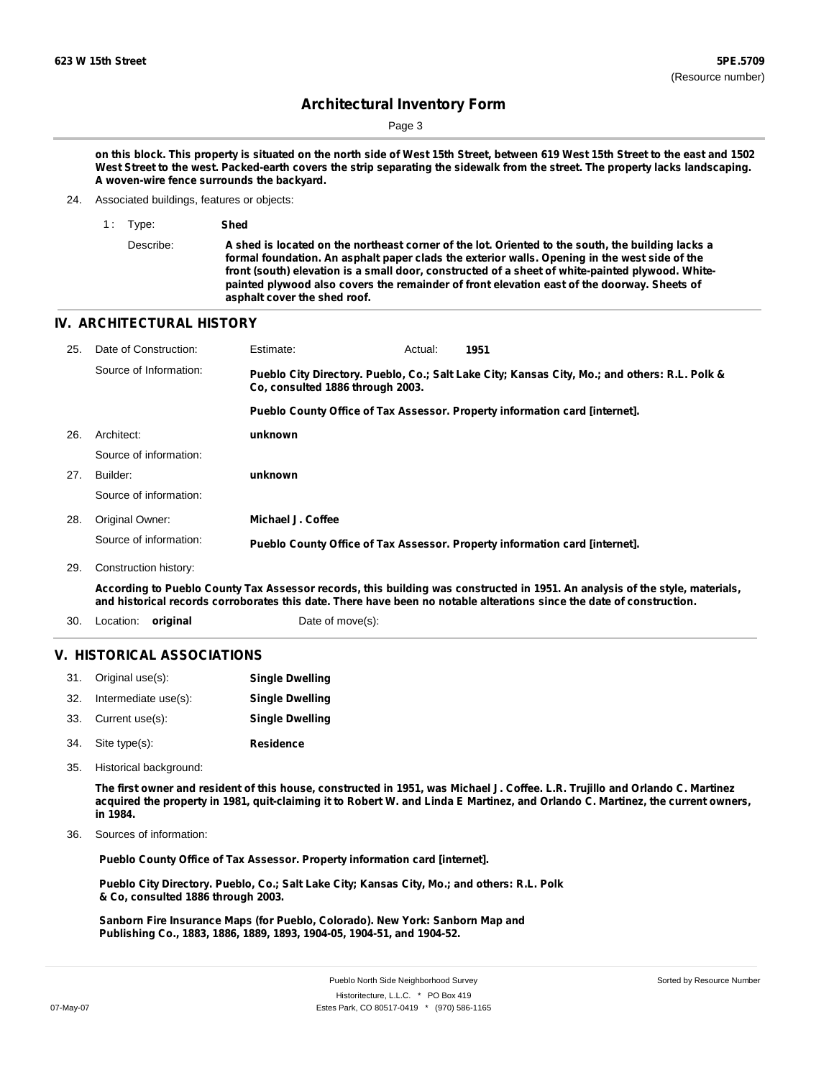Page 3

on this block. This property is situated on the north side of West 15th Street, between 619 West 15th Street to the east and 1502 West Street to the west. Packed-earth covers the strip separating the sidewalk from the street. The property lacks landscaping. **A woven-wire fence surrounds the backyard.**

- 24. Associated buildings, features or objects:
	- 1 : Type: **Shed**

Describe: A shed is located on the northeast corner of the lot. Oriented to the south, the building lacks a **formal foundation. An asphalt paper clads the exterior walls. Opening in the west side of the front (south) elevation is a small door, constructed of a sheet of white-painted plywood. Whitepainted plywood also covers the remainder of front elevation east of the doorway. Sheets of asphalt cover the shed roof.**

### **IV. ARCHITECTURAL HISTORY**

| 25. | Date of Construction:                                                                                                        | Estimate:                        | Actual: | 1951                                                                                          |  |
|-----|------------------------------------------------------------------------------------------------------------------------------|----------------------------------|---------|-----------------------------------------------------------------------------------------------|--|
|     | Source of Information:                                                                                                       | Co. consulted 1886 through 2003. |         | Pueblo City Directory. Pueblo, Co.; Salt Lake City; Kansas City, Mo.; and others: R.L. Polk & |  |
|     |                                                                                                                              |                                  |         | Pueblo County Office of Tax Assessor. Property information card [internet].                   |  |
| 26. | Architect:                                                                                                                   | unknown                          |         |                                                                                               |  |
|     | Source of information:                                                                                                       |                                  |         |                                                                                               |  |
| 27. | Builder:                                                                                                                     | unknown                          |         |                                                                                               |  |
|     | Source of information:                                                                                                       |                                  |         |                                                                                               |  |
| 28. | Original Owner:                                                                                                              | Michael J. Coffee                |         |                                                                                               |  |
|     | Source of information:                                                                                                       |                                  |         | Pueblo County Office of Tax Assessor. Property information card [internet].                   |  |
| 29. | Construction history:                                                                                                        |                                  |         |                                                                                               |  |
|     | Associant to Duchle County Tay Associate research this building was constructed in 1051. An anglysic of the style, materials |                                  |         |                                                                                               |  |

According to Pueblo County Tax Assessor records, this building was constructed in 1951. An analysis of the style, materials, and historical records corroborates this date. There have been no notable alterations since the date of construction.

30. Location: **original** Date of move(s):

### **V. HISTORICAL ASSOCIATIONS**

| 31. | Original use(s):     | <b>Single Dwelling</b> |
|-----|----------------------|------------------------|
| 32. | Intermediate use(s): | <b>Single Dwelling</b> |
| 33. | Current use(s):      | <b>Single Dwelling</b> |
| 34. | Site type(s):        | <b>Residence</b>       |

35. Historical background:

The first owner and resident of this house, constructed in 1951, was Michael J. Coffee. L.R. Trujillo and Orlando C. Martinez acquired the property in 1981, quit-claiming it to Robert W. and Linda E Martinez, and Orlando C. Martinez, the current owners, **in 1984.**

Sources of information: 36.

**Pueblo County Office of Tax Assessor. Property information card [internet].**

**Pueblo City Directory. Pueblo, Co.; Salt Lake City; Kansas City, Mo.; and others: R.L. Polk & Co, consulted 1886 through 2003.**

**Sanborn Fire Insurance Maps (for Pueblo, Colorado). New York: Sanborn Map and Publishing Co., 1883, 1886, 1889, 1893, 1904-05, 1904-51, and 1904-52.**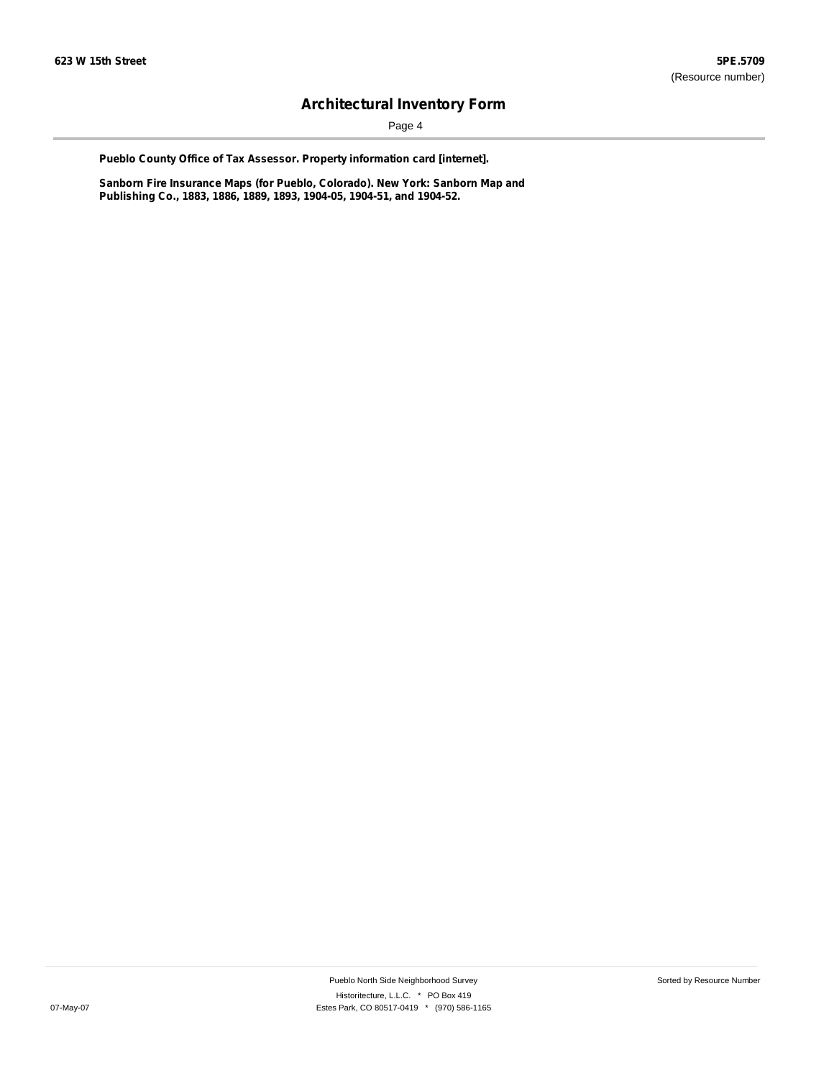Page 4

**Pueblo County Office of Tax Assessor. Property information card [internet].**

**Sanborn Fire Insurance Maps (for Pueblo, Colorado). New York: Sanborn Map and Publishing Co., 1883, 1886, 1889, 1893, 1904-05, 1904-51, and 1904-52.**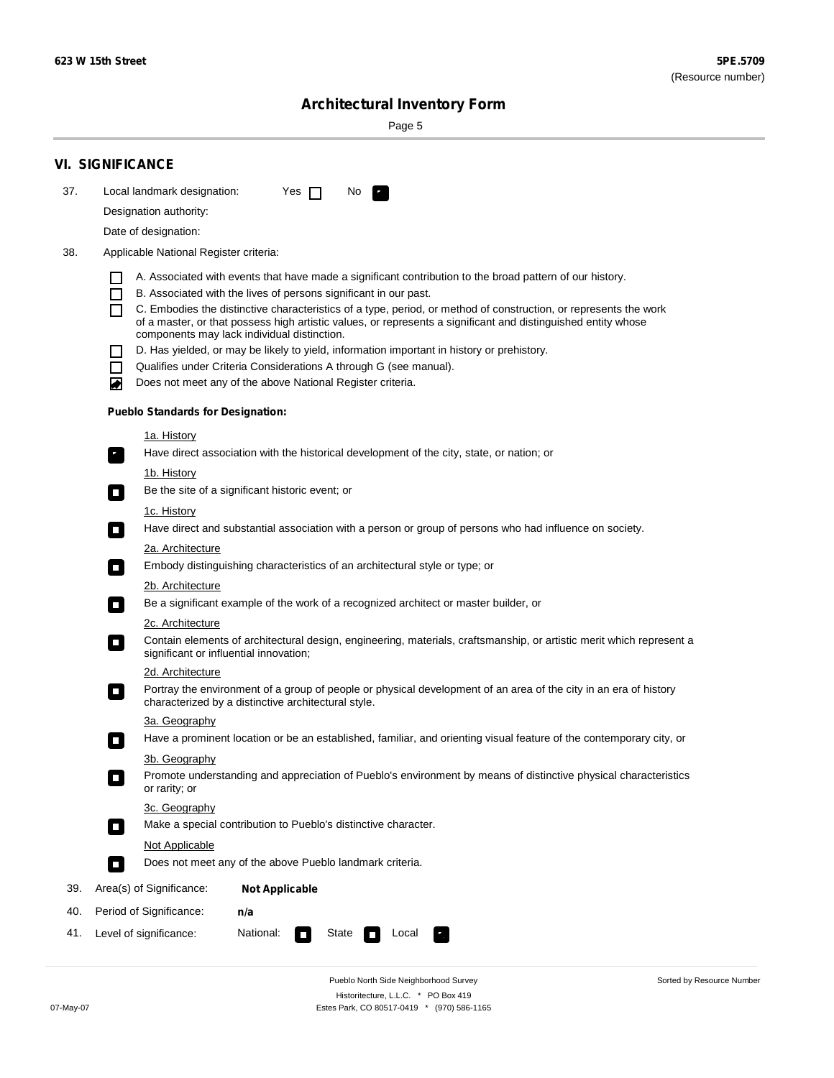$\sim$ 

Sorted by Resource Number

# **Architectural Inventory Form**

Page 5

|     | <b>VI. SIGNIFICANCE</b>                                                                                                                                                                                |  |  |  |  |  |  |
|-----|--------------------------------------------------------------------------------------------------------------------------------------------------------------------------------------------------------|--|--|--|--|--|--|
| 37. | Local landmark designation:<br>Yes $\Box$<br>No.<br>P.                                                                                                                                                 |  |  |  |  |  |  |
|     | Designation authority:                                                                                                                                                                                 |  |  |  |  |  |  |
|     | Date of designation:                                                                                                                                                                                   |  |  |  |  |  |  |
| 38. | Applicable National Register criteria:                                                                                                                                                                 |  |  |  |  |  |  |
|     | A. Associated with events that have made a significant contribution to the broad pattern of our history.<br>ΙI                                                                                         |  |  |  |  |  |  |
|     | B. Associated with the lives of persons significant in our past.<br>ΙI                                                                                                                                 |  |  |  |  |  |  |
|     | C. Embodies the distinctive characteristics of a type, period, or method of construction, or represents the work<br>П                                                                                  |  |  |  |  |  |  |
|     | of a master, or that possess high artistic values, or represents a significant and distinguished entity whose<br>components may lack individual distinction.                                           |  |  |  |  |  |  |
|     | D. Has yielded, or may be likely to yield, information important in history or prehistory.<br>ΙI                                                                                                       |  |  |  |  |  |  |
|     | Qualifies under Criteria Considerations A through G (see manual).<br>$\blacksquare$                                                                                                                    |  |  |  |  |  |  |
|     | Does not meet any of the above National Register criteria.<br>◙                                                                                                                                        |  |  |  |  |  |  |
|     | <b>Pueblo Standards for Designation:</b>                                                                                                                                                               |  |  |  |  |  |  |
|     | <u>1a. History</u>                                                                                                                                                                                     |  |  |  |  |  |  |
|     | Have direct association with the historical development of the city, state, or nation; or<br>$\mathbf{r}_\perp$                                                                                        |  |  |  |  |  |  |
|     | 1b. History                                                                                                                                                                                            |  |  |  |  |  |  |
|     | Be the site of a significant historic event; or<br>$\overline{\phantom{a}}$                                                                                                                            |  |  |  |  |  |  |
|     | 1c. History                                                                                                                                                                                            |  |  |  |  |  |  |
|     | Have direct and substantial association with a person or group of persons who had influence on society.<br>$\blacksquare$                                                                              |  |  |  |  |  |  |
|     | 2a. Architecture                                                                                                                                                                                       |  |  |  |  |  |  |
|     | Embody distinguishing characteristics of an architectural style or type; or<br>$\Box$                                                                                                                  |  |  |  |  |  |  |
|     | <u>2b. Architecture</u><br>$\overline{\phantom{a}}$                                                                                                                                                    |  |  |  |  |  |  |
|     | Be a significant example of the work of a recognized architect or master builder, or                                                                                                                   |  |  |  |  |  |  |
|     | <b>2c. Architecture</b><br>Contain elements of architectural design, engineering, materials, craftsmanship, or artistic merit which represent a                                                        |  |  |  |  |  |  |
|     | о<br>significant or influential innovation;                                                                                                                                                            |  |  |  |  |  |  |
|     | 2d. Architecture                                                                                                                                                                                       |  |  |  |  |  |  |
|     | Portray the environment of a group of people or physical development of an area of the city in an era of history<br>$\mathcal{L}_{\mathcal{A}}$<br>characterized by a distinctive architectural style. |  |  |  |  |  |  |
|     | 3a. Geography                                                                                                                                                                                          |  |  |  |  |  |  |
|     | Have a prominent location or be an established, familiar, and orienting visual feature of the contemporary city, or<br>П                                                                               |  |  |  |  |  |  |
|     | 3b. Geography                                                                                                                                                                                          |  |  |  |  |  |  |
|     | Promote understanding and appreciation of Pueblo's environment by means of distinctive physical characteristics<br>or rarity; or                                                                       |  |  |  |  |  |  |
|     | 3c. Geography                                                                                                                                                                                          |  |  |  |  |  |  |
|     | Make a special contribution to Pueblo's distinctive character.<br>$\Box$                                                                                                                               |  |  |  |  |  |  |
|     | Not Applicable                                                                                                                                                                                         |  |  |  |  |  |  |
|     | Does not meet any of the above Pueblo landmark criteria.<br>$\overline{\phantom{a}}$                                                                                                                   |  |  |  |  |  |  |
| 39. | Area(s) of Significance:<br><b>Not Applicable</b>                                                                                                                                                      |  |  |  |  |  |  |
| 40. | Period of Significance:<br>n/a                                                                                                                                                                         |  |  |  |  |  |  |
| 41. | National:<br>Level of significance:<br>Local<br>State                                                                                                                                                  |  |  |  |  |  |  |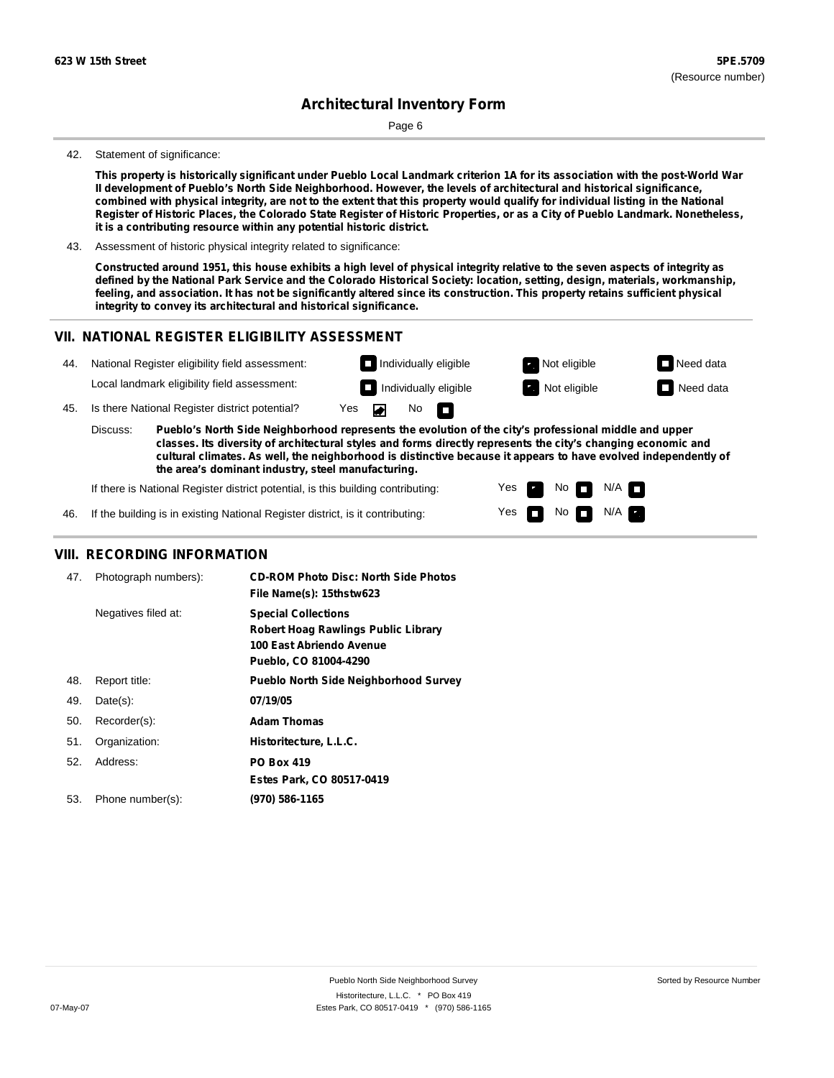Page 6

#### 42. Statement of significance:

This property is historically significant under Pueblo Local Landmark criterion 1A for its association with the post-World War **II development of Pueblo's North Side Neighborhood. However, the levels of architectural and historical significance,** combined with physical integrity, are not to the extent that this property would qualify for individual listing in the National Register of Historic Places, the Colorado State Register of Historic Properties, or as a City of Pueblo Landmark. Nonetheless, **it is a contributing resource within any potential historic district.**

43. Assessment of historic physical integrity related to significance:

Constructed around 1951, this house exhibits a high level of physical integrity relative to the seven aspects of integrity as defined by the National Park Service and the Colorado Historical Society: location, setting, design, materials, workmanship, feeling, and association. It has not be significantly altered since its construction. This property retains sufficient physical **integrity to convey its architectural and historical significance.**

#### **VII. NATIONAL REGISTER ELIGIBILITY ASSESSMENT**



Yes Yes No

No  $\blacksquare$  N/A

 $N/A$ 

**the area's dominant industry, steel manufacturing.**

If there is National Register district potential, is this building contributing:

If the building is in existing National Register district, is it contributing: 46.

### **VIII. RECORDING INFORMATION**

| 47. | Photograph numbers): | <b>CD-ROM Photo Disc: North Side Photos</b><br>File Name(s): 15thstw623                                                       |
|-----|----------------------|-------------------------------------------------------------------------------------------------------------------------------|
|     | Negatives filed at:  | <b>Special Collections</b><br><b>Robert Hoag Rawlings Public Library</b><br>100 East Abriendo Avenue<br>Pueblo, CO 81004-4290 |
| 48. | Report title:        | <b>Pueblo North Side Neighborhood Survey</b>                                                                                  |
| 49. | $Date(s)$ :          | 07/19/05                                                                                                                      |
| 50. | Recorder(s):         | <b>Adam Thomas</b>                                                                                                            |
| 51. | Organization:        | Historitecture, L.L.C.                                                                                                        |
| 52. | Address:             | <b>PO Box 419</b>                                                                                                             |
|     |                      | Estes Park, CO 80517-0419                                                                                                     |
| 53. | Phone number(s):     | (970) 586-1165                                                                                                                |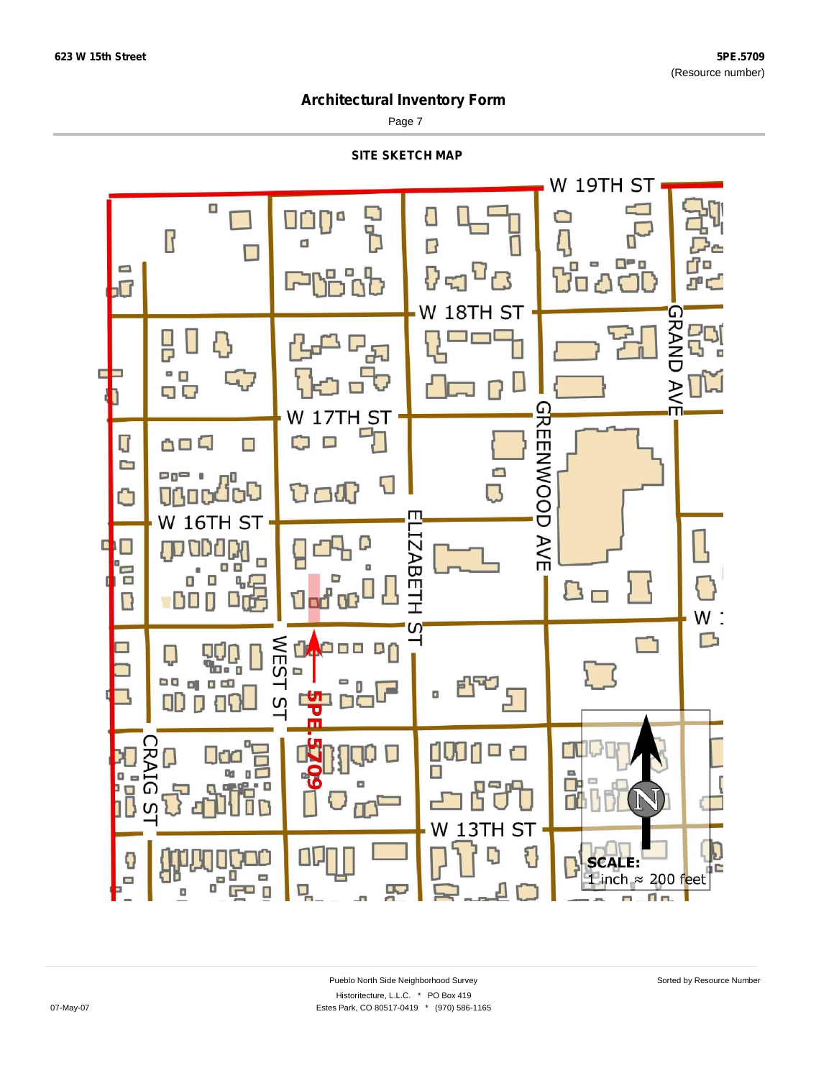$\blacksquare$ 

### **Architectural Inventory Form**

Page 7



E

무

m.

٢

**SCALE:** 

1 inch  $\approx$  200 feet

m.

T a.

Đ

 $\blacksquare$ 

uu<br>aa<br>a

 $\Box$ 

 $\Box$ 

믹

 $F = 0$